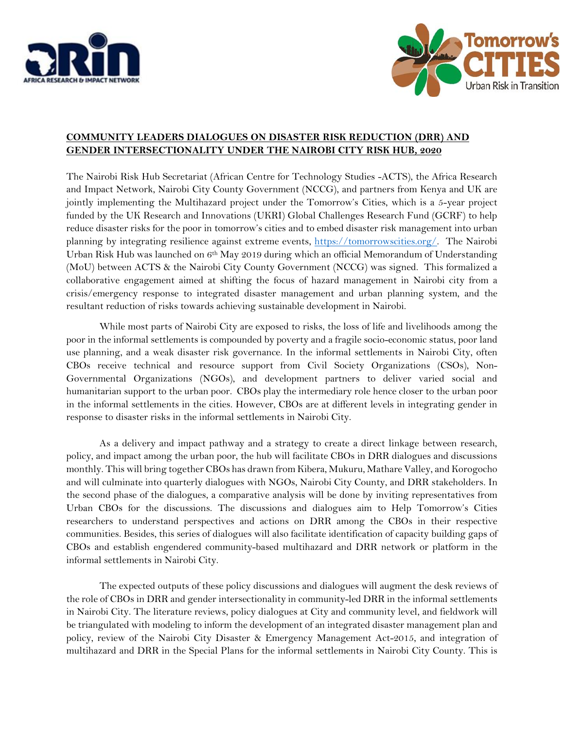



## **COMMUNITY LEADERS DIALOGUES ON DISASTER RISK REDUCTION (DRR) AND GENDER INTERSECTIONALITY UNDER THE NAIROBI CITY RISK HUB, 2020**

The Nairobi Risk Hub Secretariat (African Centre for Technology Studies -ACTS), the Africa Research and Impact Network, Nairobi City County Government (NCCG), and partners from Kenya and UK are jointly implementing the Multihazard project under the Tomorrow's Cities, which is a 5-year project funded by the UK Research and Innovations (UKRI) Global Challenges Research Fund (GCRF) to help reduce disaster risks for the poor in tomorrow's cities and to embed disaster risk management into urban planning by integrating resilience against extreme events, [https://tomorrowscities.org/.](https://tomorrowscities.org/) The Nairobi Urban Risk Hub was launched on 6th May 2019 during which an official Memorandum of Understanding (MoU) between ACTS & the Nairobi City County Government (NCCG) was signed. This formalized a collaborative engagement aimed at shifting the focus of hazard management in Nairobi city from a crisis/emergency response to integrated disaster management and urban planning system, and the resultant reduction of risks towards achieving sustainable development in Nairobi.

While most parts of Nairobi City are exposed to risks, the loss of life and livelihoods among the poor in the informal settlements is compounded by poverty and a fragile socio-economic status, poor land use planning, and a weak disaster risk governance. In the informal settlements in Nairobi City, often CBOs receive technical and resource support from Civil Society Organizations (CSOs), Non-Governmental Organizations (NGOs), and development partners to deliver varied social and humanitarian support to the urban poor. CBOs play the intermediary role hence closer to the urban poor in the informal settlements in the cities. However, CBOs are at different levels in integrating gender in response to disaster risks in the informal settlements in Nairobi City.

As a delivery and impact pathway and a strategy to create a direct linkage between research, policy, and impact among the urban poor, the hub will facilitate CBOs in DRR dialogues and discussions monthly. This will bring together CBOs has drawn from Kibera, Mukuru, Mathare Valley, and Korogocho and will culminate into quarterly dialogues with NGOs, Nairobi City County, and DRR stakeholders. In the second phase of the dialogues, a comparative analysis will be done by inviting representatives from Urban CBOs for the discussions. The discussions and dialogues aim to Help Tomorrow's Cities researchers to understand perspectives and actions on DRR among the CBOs in their respective communities. Besides, this series of dialogues will also facilitate identification of capacity building gaps of CBOs and establish engendered community-based multihazard and DRR network or platform in the informal settlements in Nairobi City.

The expected outputs of these policy discussions and dialogues will augment the desk reviews of the role of CBOs in DRR and gender intersectionality in community-led DRR in the informal settlements in Nairobi City. The literature reviews, policy dialogues at City and community level, and fieldwork will be triangulated with modeling to inform the development of an integrated disaster management plan and policy, review of the Nairobi City Disaster & Emergency Management Act-2015, and integration of multihazard and DRR in the Special Plans for the informal settlements in Nairobi City County. This is